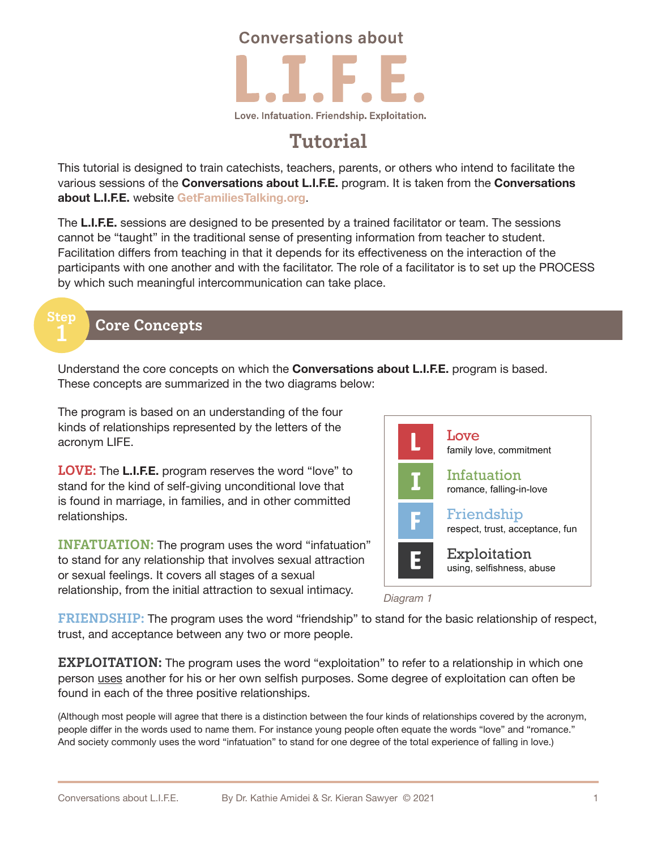## **Conversations about**



# **Tutorial**

This tutorial is designed to train catechists, teachers, parents, or others who intend to facilitate the various sessions of the **Conversations about L.I.F.E.** program. It is taken from the **Conversations about L.I.F.E.** website **GetFamiliesTalking.org**.

The **L.I.F.E.** sessions are designed to be presented by a trained facilitator or team. The sessions cannot be "taught" in the traditional sense of presenting information from teacher to student. Facilitation differs from teaching in that it depends for its effectiveness on the interaction of the participants with one another and with the facilitator. The role of a facilitator is to set up the PROCESS by which such meaningful intercommunication can take place.



### **Core Concepts**

Understand the core concepts on which the **Conversations about L.I.F.E.** program is based. These concepts are summarized in the two diagrams below:

The program is based on an understanding of the four kinds of relationships represented by the letters of the acronym LIFE.

**LOVE:** The **L.I.F.E.** program reserves the word "love" to stand for the kind of self-giving unconditional love that is found in marriage, in families, and in other committed relationships.

**INFATUATION:** The program uses the word "infatuation" to stand for any relationship that involves sexual attraction or sexual feelings. It covers all stages of a sexual relationship, from the initial attraction to sexual intimacy.





**FRIENDSHIP:** The program uses the word "friendship" to stand for the basic relationship of respect, trust, and acceptance between any two or more people.

**EXPLOITATION:** The program uses the word "exploitation" to refer to a relationship in which one person uses another for his or her own selfish purposes. Some degree of exploitation can often be found in each of the three positive relationships.

(Although most people will agree that there is a distinction between the four kinds of relationships covered by the acronym, people differ in the words used to name them. For instance young people often equate the words "love" and "romance." And society commonly uses the word "infatuation" to stand for one degree of the total experience of falling in love.)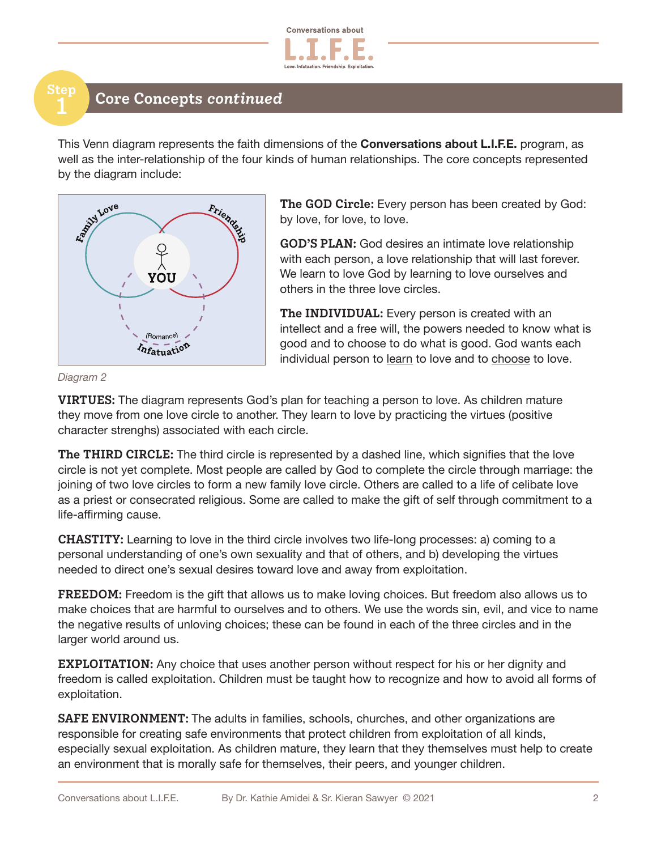

### **Core Concepts continued**

This Venn diagram represents the faith dimensions of the **Conversations about L.I.F.E.** program, as well as the inter-relationship of the four kinds of human relationships. The core concepts represented by the diagram include:



**The GOD Circle:** Every person has been created by God: by love, for love, to love.

**GOD'S PLAN:** God desires an intimate love relationship with each person, a love relationship that will last forever. We learn to love God by learning to love ourselves and others in the three love circles.

**The INDIVIDUAL:** Every person is created with an intellect and a free will, the powers needed to know what is good and to choose to do what is good. God wants each individual person to learn to love and to choose to love.

*Diagram 2*

**VIRTUES:** The diagram represents God's plan for teaching a person to love. As children mature they move from one love circle to another. They learn to love by practicing the virtues (positive character strenghs) associated with each circle.

**The THIRD CIRCLE:** The third circle is represented by a dashed line, which signifies that the love circle is not yet complete. Most people are called by God to complete the circle through marriage: the joining of two love circles to form a new family love circle. Others are called to a life of celibate love as a priest or consecrated religious. Some are called to make the gift of self through commitment to a life-affirming cause.

**CHASTITY:** Learning to love in the third circle involves two life-long processes: a) coming to a personal understanding of one's own sexuality and that of others, and b) developing the virtues needed to direct one's sexual desires toward love and away from exploitation.

**FREEDOM:** Freedom is the gift that allows us to make loving choices. But freedom also allows us to make choices that are harmful to ourselves and to others. We use the words sin, evil, and vice to name the negative results of unloving choices; these can be found in each of the three circles and in the larger world around us.

**EXPLOITATION:** Any choice that uses another person without respect for his or her dignity and freedom is called exploitation. Children must be taught how to recognize and how to avoid all forms of exploitation.

**SAFE ENVIRONMENT:** The adults in families, schools, churches, and other organizations are responsible for creating safe environments that protect children from exploitation of all kinds, especially sexual exploitation. As children mature, they learn that they themselves must help to create an environment that is morally safe for themselves, their peers, and younger children.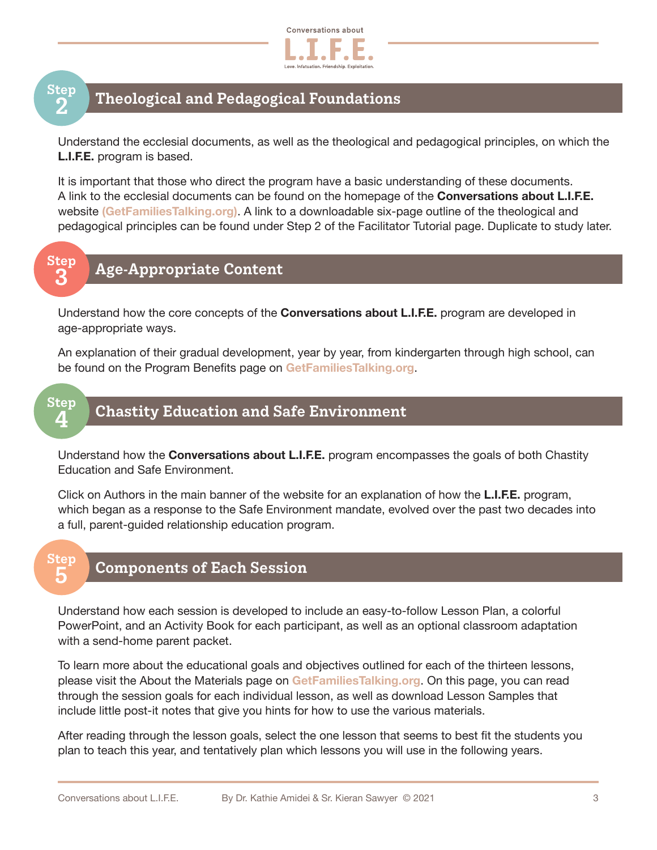

## **Theological and Pedagogical Foundations**

Understand the ecclesial documents, as well as the theological and pedagogical principles, on which the **L.I.F.E.** program is based.

It is important that those who direct the program have a basic understanding of these documents. A link to the ecclesial documents can be found on the homepage of the **Conversations about L.I.F.E.**  website **(GetFamiliesTalking.org)**. A link to a downloadable six-page outline of the theological and pedagogical principles can be found under Step 2 of the Facilitator Tutorial page. Duplicate to study later.

## **Step 3**

**Step 2**

### **Age-Appropriate Content**

Understand how the core concepts of the **Conversations about L.I.F.E.** program are developed in age-appropriate ways.

An explanation of their gradual development, year by year, from kindergarten through high school, can be found on the Program Benefits page on **GetFamiliesTalking.org**.

#### **Step 4 Chastity Education and Safe Environment**

Understand how the **Conversations about L.I.F.E.** program encompasses the goals of both Chastity Education and Safe Environment.

Click on Authors in the main banner of the website for an explanation of how the **L.I.F.E.** program, which began as a response to the Safe Environment mandate, evolved over the past two decades into a full, parent-guided relationship education program.

## **Step 5**

### **Components of Each Session**

Understand how each session is developed to include an easy-to-follow Lesson Plan, a colorful PowerPoint, and an Activity Book for each participant, as well as an optional classroom adaptation with a send-home parent packet.

To learn more about the educational goals and objectives outlined for each of the thirteen lessons, please visit the About the Materials page on **GetFamiliesTalking.org**. On this page, you can read through the session goals for each individual lesson, as well as download Lesson Samples that include little post-it notes that give you hints for how to use the various materials.

After reading through the lesson goals, select the one lesson that seems to best fit the students you plan to teach this year, and tentatively plan which lessons you will use in the following years.